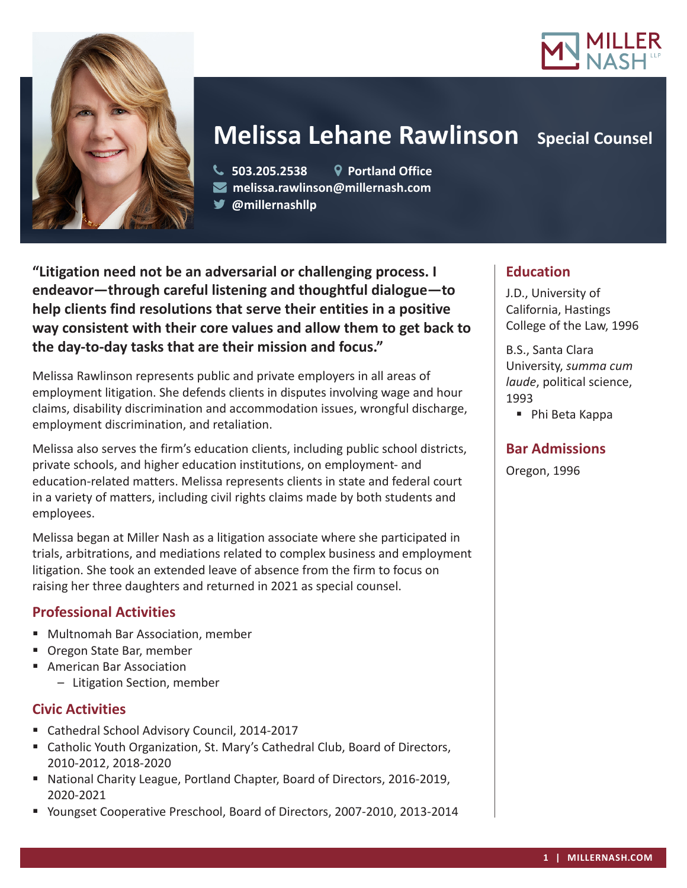



# **Melissa Lehane Rawlinson** Special Counsel

 **503.205.2538 Portland Office melissa.rawlinson@millernash.com @millernashllp**

**"Litigation need not be an adversarial or challenging process. I endeavor—through careful listening and thoughtful dialogue—to help clients find resolutions that serve their entities in a positive way consistent with their core values and allow them to get back to the day-to-day tasks that are their mission and focus."**

Melissa Rawlinson represents public and private employers in all areas of employment litigation. She defends clients in disputes involving wage and hour claims, disability discrimination and accommodation issues, wrongful discharge, employment discrimination, and retaliation.

Melissa also serves the firm's education clients, including public school districts, private schools, and higher education institutions, on employment- and education-related matters. Melissa represents clients in state and federal court in a variety of matters, including civil rights claims made by both students and employees.

Melissa began at Miller Nash as a litigation associate where she participated in trials, arbitrations, and mediations related to complex business and employment litigation. She took an extended leave of absence from the firm to focus on raising her three daughters and returned in 2021 as special counsel.

# **Professional Activities**

- Multnomah Bar Association, member
- Oregon State Bar, member
- **American Bar Association** 
	- Litigation Section, member

# **Civic Activities**

- Cathedral School Advisory Council, 2014-2017
- Catholic Youth Organization, St. Mary's Cathedral Club, Board of Directors, 2010-2012, 2018-2020
- National Charity League, Portland Chapter, Board of Directors, 2016-2019, 2020-2021
- Youngset Cooperative Preschool, Board of Directors, 2007-2010, 2013-2014

# **Education**

J.D., University of California, Hastings College of the Law, 1996

B.S., Santa Clara University, *summa cum laude*, political science, 1993

■ Phi Beta Kappa

# **Bar Admissions**

Oregon, 1996